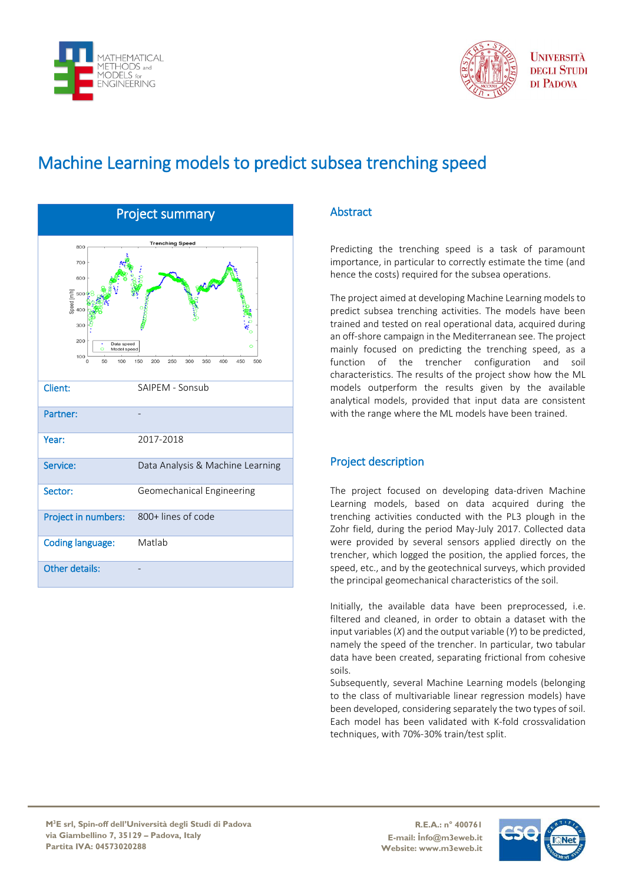



**I INIVERSITÀ DEGLI STUDI** DI PADOVA

# Machine Learning models to predict subsea trenching speed

| <b>Project summary</b>                                                                                                                                                                                       |                                  |
|--------------------------------------------------------------------------------------------------------------------------------------------------------------------------------------------------------------|----------------------------------|
| <b>Trenching Speed</b><br>800<br>700<br>600<br>Speed [m/h]<br>Speed<br>400<br>300<br>200<br>Data speed<br>$\circ$<br>Model speed<br>100<br>50<br>100<br>150<br>200<br>250<br>300<br>350<br>400<br>450<br>500 |                                  |
| Client:                                                                                                                                                                                                      | SAIPEM - Sonsub                  |
| Partner:                                                                                                                                                                                                     |                                  |
| Year:                                                                                                                                                                                                        | 2017-2018                        |
| Service:                                                                                                                                                                                                     | Data Analysis & Machine Learning |
| Sector:                                                                                                                                                                                                      | Geomechanical Engineering        |
| Project in numbers:                                                                                                                                                                                          | 800+ lines of code               |
| <b>Coding language:</b>                                                                                                                                                                                      | Matlab                           |
| <b>Other details:</b>                                                                                                                                                                                        |                                  |

## Abstract

Predicting the trenching speed is a task of paramount importance, in particular to correctly estimate the time (and hence the costs) required for the subsea operations.

The project aimed at developing Machine Learning models to predict subsea trenching activities. The models have been trained and tested on real operational data, acquired during an off-shore campaign in the Mediterranean see. The project mainly focused on predicting the trenching speed, as a function of the trencher configuration and soil characteristics. The results of the project show how the ML models outperform the results given by the available analytical models, provided that input data are consistent with the range where the ML models have been trained.

### Project description

The project focused on developing data-driven Machine Learning models, based on data acquired during the trenching activities conducted with the PL3 plough in the Zohr field, during the period May-July 2017. Collected data were provided by several sensors applied directly on the trencher, which logged the position, the applied forces, the speed, etc., and by the geotechnical surveys, which provided the principal geomechanical characteristics of the soil.

Initially, the available data have been preprocessed, i.e. filtered and cleaned, in order to obtain a dataset with the input variables (*X*) and the output variable (*Y*) to be predicted, namely the speed of the trencher. In particular, two tabular data have been created, separating frictional from cohesive soils.

Subsequently, several Machine Learning models (belonging to the class of multivariable linear regression models) have been developed, considering separately the two types of soil. Each model has been validated with K-fold crossvalidation techniques, with 70%-30% train/test split.